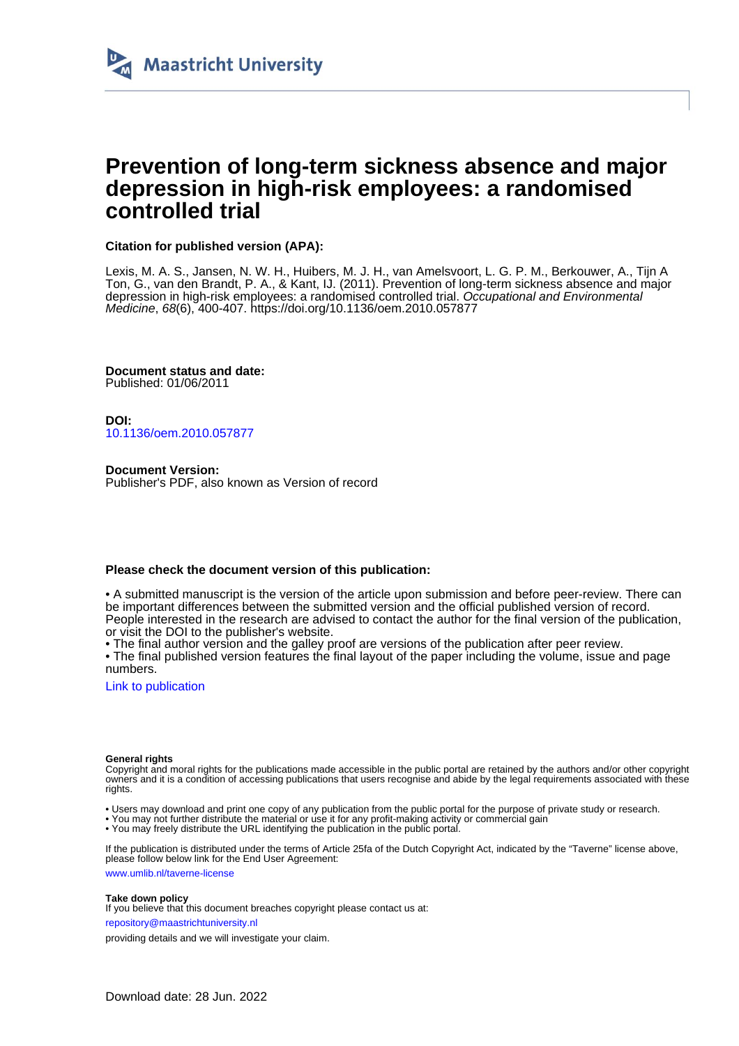

# **Prevention of long-term sickness absence and major depression in high-risk employees: a randomised controlled trial**

# **Citation for published version (APA):**

Lexis, M. A. S., Jansen, N. W. H., Huibers, M. J. H., van Amelsvoort, L. G. P. M., Berkouwer, A., Tijn A Ton, G., van den Brandt, P. A., & Kant, IJ. (2011). Prevention of long-term sickness absence and major depression in high-risk employees: a randomised controlled trial. Occupational and Environmental Medicine, 68(6), 400-407. <https://doi.org/10.1136/oem.2010.057877>

**Document status and date:** Published: 01/06/2011

**DOI:** [10.1136/oem.2010.057877](https://doi.org/10.1136/oem.2010.057877)

**Document Version:** Publisher's PDF, also known as Version of record

# **Please check the document version of this publication:**

• A submitted manuscript is the version of the article upon submission and before peer-review. There can be important differences between the submitted version and the official published version of record. People interested in the research are advised to contact the author for the final version of the publication, or visit the DOI to the publisher's website.

• The final author version and the galley proof are versions of the publication after peer review.

• The final published version features the final layout of the paper including the volume, issue and page numbers.

[Link to publication](https://cris.maastrichtuniversity.nl/en/publications/832342d9-f7e8-45c2-94e0-0b48a26a2f5c)

#### **General rights**

Copyright and moral rights for the publications made accessible in the public portal are retained by the authors and/or other copyright owners and it is a condition of accessing publications that users recognise and abide by the legal requirements associated with these rights.

- Users may download and print one copy of any publication from the public portal for the purpose of private study or research.
- You may not further distribute the material or use it for any profit-making activity or commercial gain
- You may freely distribute the URL identifying the publication in the public portal.

If the publication is distributed under the terms of Article 25fa of the Dutch Copyright Act, indicated by the "Taverne" license above, please follow below link for the End User Agreement:

www.umlib.nl/taverne-license

#### **Take down policy**

If you believe that this document breaches copyright please contact us at:

repository@maastrichtuniversity.nl

providing details and we will investigate your claim.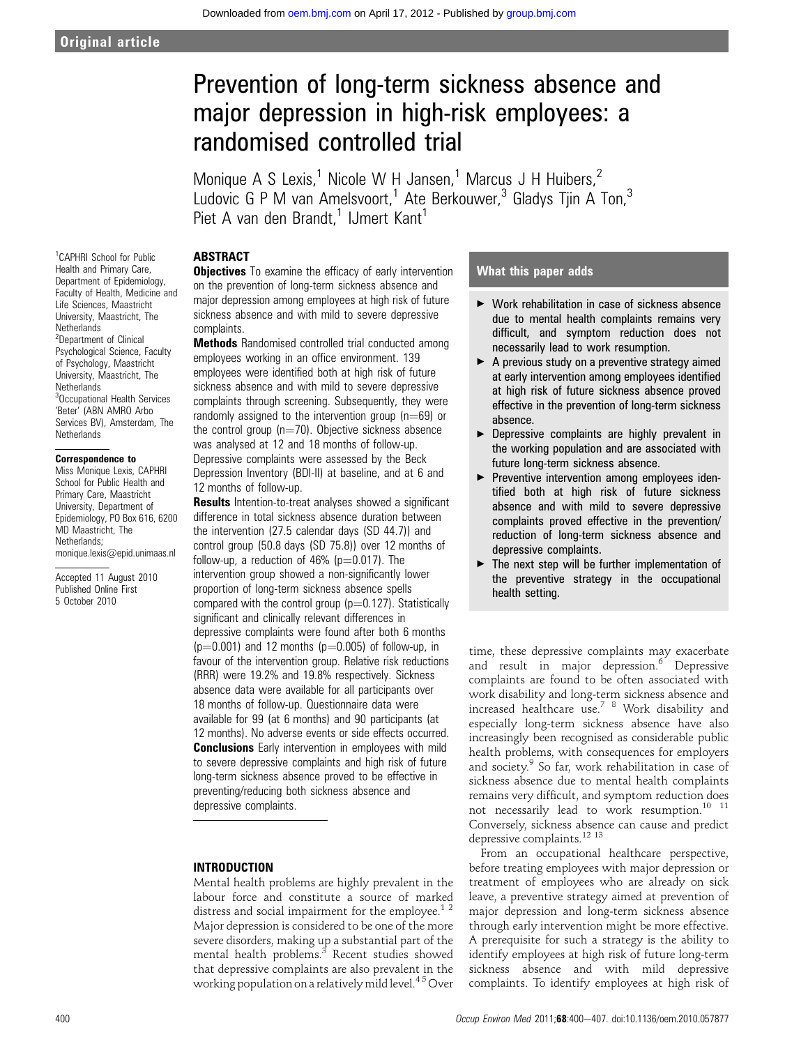# Prevention of long-term sickness absence and major depression in high-risk employees: a randomised controlled trial

Monique A S Lexis,<sup>1</sup> Nicole W H Jansen,<sup>1</sup> Marcus J H Huibers,<sup>2</sup> Ludovic G P M van Amelsvoort,<sup>1</sup> Ate Berkouwer,<sup>3</sup> Gladys Tjin A Ton,<sup>3</sup> Piet A van den Brandt.<sup>1</sup> IJmert Kant<sup>1</sup>

# ABSTRACT

1 CAPHRI School for Public Health and Primary Care, Department of Epidemiology, Faculty of Health, Medicine and Life Sciences, Maastricht University, Maastricht, The **Netherlands** <sup>2</sup>Department of Clinical Psychological Science, Faculty of Psychology, Maastricht University, Maastricht, The **Netherlands** <sup>3</sup>Occupational Health Services 'Beter' (ABN AMRO Arbo Services BV), Amsterdam, The **Netherlands** 

#### Correspondence to

Miss Monique Lexis, CAPHRI School for Public Health and Primary Care, Maastricht University, Department of Epidemiology, PO Box 616, 6200 MD Maastricht, The Netherlands; monique.lexis@epid.unimaas.nl

Accepted 11 August 2010 Published Online First 5 October 2010

**Objectives** To examine the efficacy of early intervention on the prevention of long-term sickness absence and major depression among employees at high risk of future sickness absence and with mild to severe depressive complaints.

**Methods** Randomised controlled trial conducted among employees working in an office environment. 139 employees were identified both at high risk of future sickness absence and with mild to severe depressive complaints through screening. Subsequently, they were randomly assigned to the intervention group ( $n=69$ ) or the control group ( $n=70$ ). Objective sickness absence was analysed at 12 and 18 months of follow-up. Depressive complaints were assessed by the Beck Depression Inventory (BDI-II) at baseline, and at 6 and 12 months of follow-up.

**Results** Intention-to-treat analyses showed a significant difference in total sickness absence duration between the intervention (27.5 calendar days (SD 44.7)) and control group (50.8 days (SD 75.8)) over 12 months of follow-up, a reduction of  $46\%$  ( $p=0.017$ ). The intervention group showed a non-significantly lower proportion of long-term sickness absence spells compared with the control group  $(p=0.127)$ . Statistically significant and clinically relevant differences in depressive complaints were found after both 6 months  $(p=0.001)$  and 12 months  $(p=0.005)$  of follow-up, in favour of the intervention group. Relative risk reductions (RRR) were 19.2% and 19.8% respectively. Sickness absence data were available for all participants over 18 months of follow-up. Questionnaire data were available for 99 (at 6 months) and 90 participants (at 12 months). No adverse events or side effects occurred. **Conclusions** Early intervention in employees with mild to severe depressive complaints and high risk of future long-term sickness absence proved to be effective in preventing/reducing both sickness absence and depressive complaints.

#### INTRODUCTION

Mental health problems are highly prevalent in the labour force and constitute a source of marked distress and social impairment for the employee. $12$ Major depression is considered to be one of the more severe disorders, making up a substantial part of the mental health problems.<sup>3</sup> Recent studies showed that depressive complaints are also prevalent in the working population on a relatively mild level.<sup>45</sup> Over

#### What this paper adds

- $\triangleright$  Work rehabilitation in case of sickness absence due to mental health complaints remains very difficult, and symptom reduction does not necessarily lead to work resumption.
- $\blacktriangleright$  A previous study on a preventive strategy aimed at early intervention among employees identified at high risk of future sickness absence proved effective in the prevention of long-term sickness absence.
- $\blacktriangleright$  Depressive complaints are highly prevalent in the working population and are associated with future long-term sickness absence.
- $\blacktriangleright$  Preventive intervention among employees identified both at high risk of future sickness absence and with mild to severe depressive complaints proved effective in the prevention/ reduction of long-term sickness absence and depressive complaints.
- $\blacktriangleright$  The next step will be further implementation of the preventive strategy in the occupational health setting.

time, these depressive complaints may exacerbate and result in major depression.<sup>6</sup> Depressive complaints are found to be often associated with work disability and long-term sickness absence and increased healthcare use.<sup>7</sup> <sup>8</sup> Work disability and especially long-term sickness absence have also increasingly been recognised as considerable public health problems, with consequences for employers and society.<sup>9</sup> So far, work rehabilitation in case of sickness absence due to mental health complaints remains very difficult, and symptom reduction does not necessarily lead to work resumption.<sup>10</sup> <sup>11</sup> Conversely, sickness absence can cause and predict depressive complaints.<sup>12 13</sup>

From an occupational healthcare perspective, before treating employees with major depression or treatment of employees who are already on sick leave, a preventive strategy aimed at prevention of major depression and long-term sickness absence through early intervention might be more effective. A prerequisite for such a strategy is the ability to identify employees at high risk of future long-term sickness absence and with mild depressive complaints. To identify employees at high risk of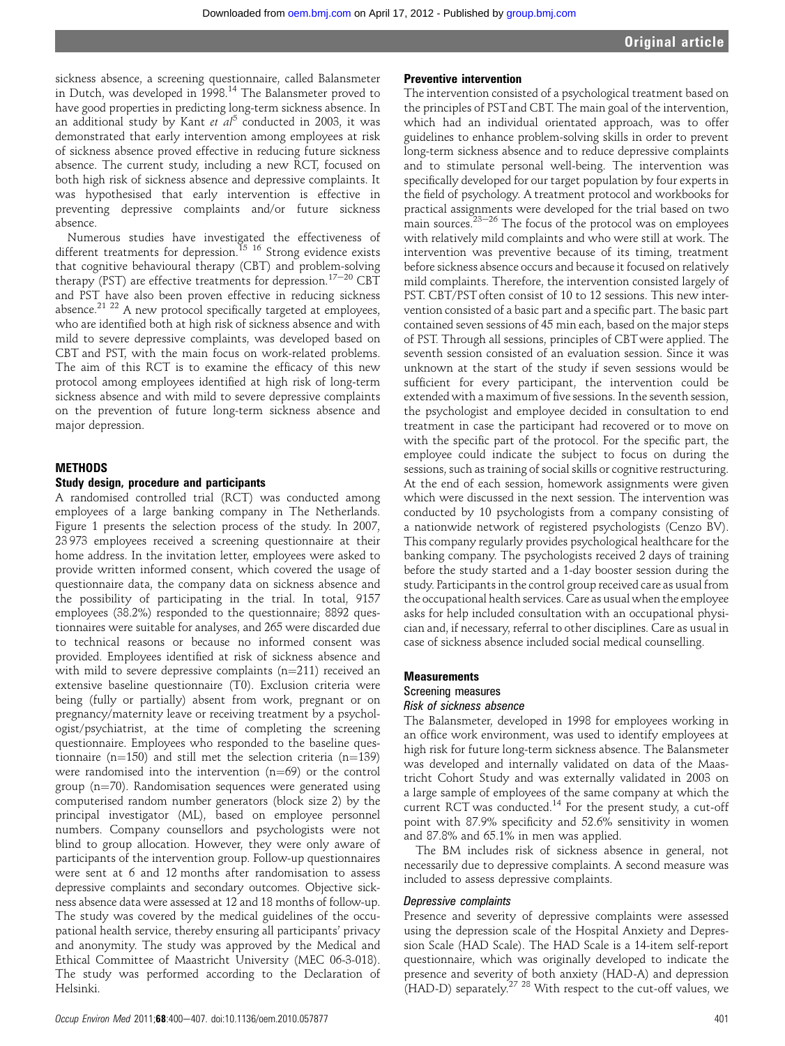sickness absence, a screening questionnaire, called Balansmeter in Dutch, was developed in 1998.<sup>14</sup> The Balansmeter proved to have good properties in predicting long-term sickness absence. In an additional study by Kant et  $a^{5}$  conducted in 2003, it was demonstrated that early intervention among employees at risk of sickness absence proved effective in reducing future sickness absence. The current study, including a new RCT, focused on both high risk of sickness absence and depressive complaints. It was hypothesised that early intervention is effective in preventing depressive complaints and/or future sickness absence.

Numerous studies have investigated the effectiveness of different treatments for depression.<sup>15 16</sup> Strong evidence exists that cognitive behavioural therapy (CBT) and problem-solving therapy (PST) are effective treatments for depression.<sup>17-20</sup> CBT and PST have also been proven effective in reducing sickness absence.21 22 A new protocol specifically targeted at employees, who are identified both at high risk of sickness absence and with mild to severe depressive complaints, was developed based on CBT and PST, with the main focus on work-related problems. The aim of this RCT is to examine the efficacy of this new protocol among employees identified at high risk of long-term sickness absence and with mild to severe depressive complaints on the prevention of future long-term sickness absence and major depression.

# **METHODS**

# Study design, procedure and participants

A randomised controlled trial (RCT) was conducted among employees of a large banking company in The Netherlands. Figure 1 presents the selection process of the study. In 2007, 23 973 employees received a screening questionnaire at their home address. In the invitation letter, employees were asked to provide written informed consent, which covered the usage of questionnaire data, the company data on sickness absence and the possibility of participating in the trial. In total, 9157 employees (38.2%) responded to the questionnaire; 8892 questionnaires were suitable for analyses, and 265 were discarded due to technical reasons or because no informed consent was provided. Employees identified at risk of sickness absence and with mild to severe depressive complaints ( $n=211$ ) received an extensive baseline questionnaire (T0). Exclusion criteria were being (fully or partially) absent from work, pregnant or on pregnancy/maternity leave or receiving treatment by a psychologist/psychiatrist, at the time of completing the screening questionnaire. Employees who responded to the baseline questionnaire (n=150) and still met the selection criteria (n=139) were randomised into the intervention  $(n=69)$  or the control group ( $n=70$ ). Randomisation sequences were generated using computerised random number generators (block size 2) by the principal investigator (ML), based on employee personnel numbers. Company counsellors and psychologists were not blind to group allocation. However, they were only aware of participants of the intervention group. Follow-up questionnaires were sent at 6 and 12 months after randomisation to assess depressive complaints and secondary outcomes. Objective sickness absence data were assessed at 12 and 18 months of follow-up. The study was covered by the medical guidelines of the occupational health service, thereby ensuring all participants' privacy and anonymity. The study was approved by the Medical and Ethical Committee of Maastricht University (MEC 06-3-018). The study was performed according to the Declaration of Helsinki.

#### Preventive intervention

The intervention consisted of a psychological treatment based on the principles of PSTand CBT. The main goal of the intervention, which had an individual orientated approach, was to offer guidelines to enhance problem-solving skills in order to prevent long-term sickness absence and to reduce depressive complaints and to stimulate personal well-being. The intervention was specifically developed for our target population by four experts in the field of psychology. A treatment protocol and workbooks for practical assignments were developed for the trial based on two main sources.<sup>23-26</sup> The focus of the protocol was on employees with relatively mild complaints and who were still at work. The intervention was preventive because of its timing, treatment before sickness absence occurs and because it focused on relatively mild complaints. Therefore, the intervention consisted largely of PST. CBT/PST often consist of 10 to 12 sessions. This new intervention consisted of a basic part and a specific part. The basic part contained seven sessions of 45 min each, based on the major steps of PST. Through all sessions, principles of CBTwere applied. The seventh session consisted of an evaluation session. Since it was unknown at the start of the study if seven sessions would be sufficient for every participant, the intervention could be extended with a maximum of five sessions. In the seventh session, the psychologist and employee decided in consultation to end treatment in case the participant had recovered or to move on with the specific part of the protocol. For the specific part, the employee could indicate the subject to focus on during the sessions, such as training of social skills or cognitive restructuring. At the end of each session, homework assignments were given which were discussed in the next session. The intervention was conducted by 10 psychologists from a company consisting of a nationwide network of registered psychologists (Cenzo BV). This company regularly provides psychological healthcare for the banking company. The psychologists received 2 days of training before the study started and a 1-day booster session during the study. Participants in the control group received care as usual from the occupational health services. Care as usual when the employee asks for help included consultation with an occupational physician and, if necessary, referral to other disciplines. Care as usual in case of sickness absence included social medical counselling.

# **Measurements**

# Screening measures

# Risk of sickness absence

The Balansmeter, developed in 1998 for employees working in an office work environment, was used to identify employees at high risk for future long-term sickness absence. The Balansmeter was developed and internally validated on data of the Maastricht Cohort Study and was externally validated in 2003 on a large sample of employees of the same company at which the current RCT was conducted.<sup>14</sup> For the present study, a cut-off point with 87.9% specificity and 52.6% sensitivity in women and 87.8% and 65.1% in men was applied.

The BM includes risk of sickness absence in general, not necessarily due to depressive complaints. A second measure was included to assess depressive complaints.

#### Depressive complaints

Presence and severity of depressive complaints were assessed using the depression scale of the Hospital Anxiety and Depression Scale (HAD Scale). The HAD Scale is a 14-item self-report questionnaire, which was originally developed to indicate the presence and severity of both anxiety (HAD-A) and depression  $(HAD-D)$  separately.<sup>27 28</sup> With respect to the cut-off values, we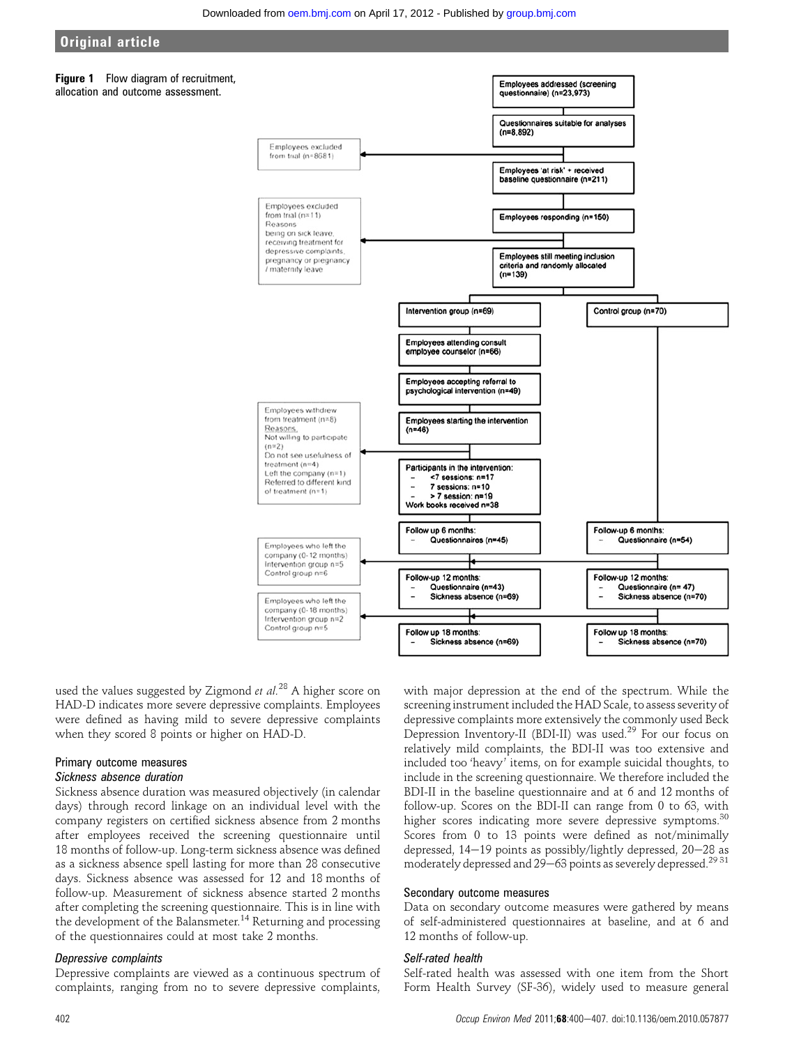

used the values suggested by Zigmond et  $al^{28}$  A higher score on HAD-D indicates more severe depressive complaints. Employees were defined as having mild to severe depressive complaints when they scored 8 points or higher on HAD-D.

# Primary outcome measures

# Sickness absence duration

Sickness absence duration was measured objectively (in calendar days) through record linkage on an individual level with the company registers on certified sickness absence from 2 months after employees received the screening questionnaire until 18 months of follow-up. Long-term sickness absence was defined as a sickness absence spell lasting for more than 28 consecutive days. Sickness absence was assessed for 12 and 18 months of follow-up. Measurement of sickness absence started 2 months after completing the screening questionnaire. This is in line with the development of the Balansmeter.<sup>14</sup> Returning and processing of the questionnaires could at most take 2 months.

# Depressive complaints

Depressive complaints are viewed as a continuous spectrum of complaints, ranging from no to severe depressive complaints,

with major depression at the end of the spectrum. While the screening instrument included the HAD Scale, to assess severity of depressive complaints more extensively the commonly used Beck Depression Inventory-II (BDI-II) was used.<sup>29</sup> For our focus on relatively mild complaints, the BDI-II was too extensive and included too 'heavy' items, on for example suicidal thoughts, to include in the screening questionnaire. We therefore included the BDI-II in the baseline questionnaire and at 6 and 12 months of follow-up. Scores on the BDI-II can range from 0 to 63, with higher scores indicating more severe depressive symptoms.<sup>30</sup> Scores from 0 to 13 points were defined as not/minimally depressed,  $14-19$  points as possibly/lightly depressed,  $20-28$  as moderately depressed and 29-63 points as severely depressed.<sup>29 31</sup>

#### Secondary outcome measures

Data on secondary outcome measures were gathered by means of self-administered questionnaires at baseline, and at 6 and 12 months of follow-up.

#### Self-rated health

Self-rated health was assessed with one item from the Short Form Health Survey (SF-36), widely used to measure general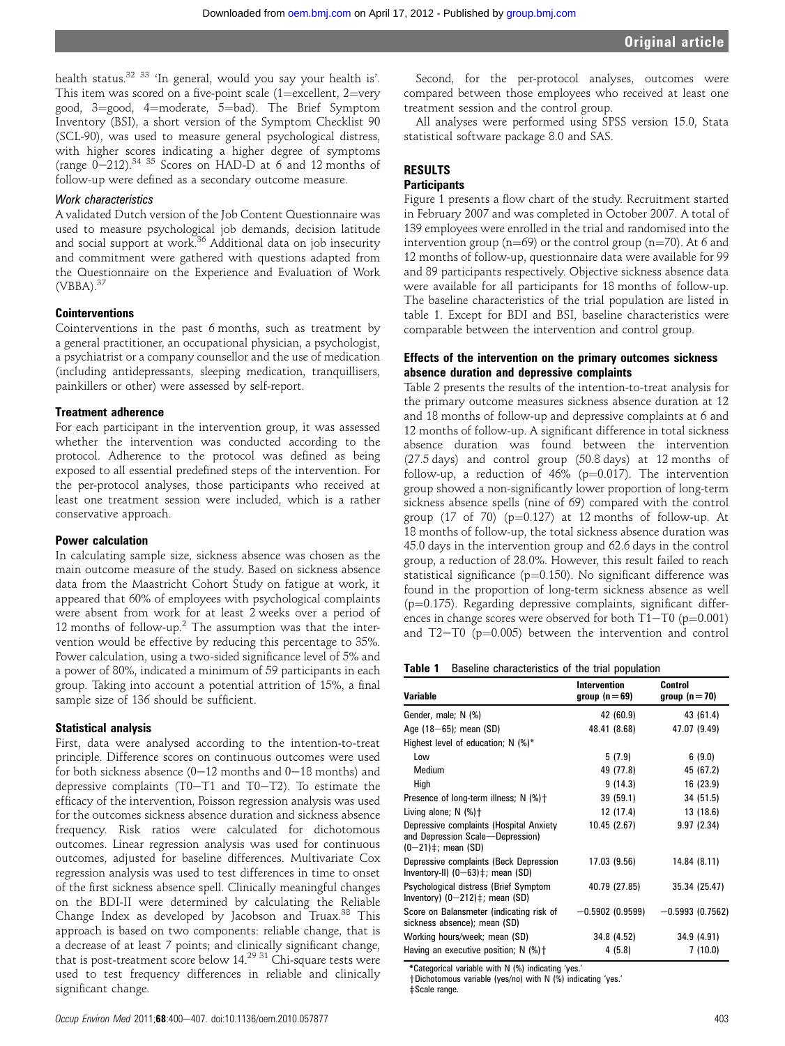health status.32 <sup>33</sup> 'In general, would you say your health is'. This item was scored on a five-point scale (1=excellent, 2=very good,  $3 = \text{good}$ ,  $4 = \text{moderate}$ ,  $5 = \text{bad}$ . The Brief Symptom Inventory (BSI), a short version of the Symptom Checklist 90 (SCL-90), was used to measure general psychological distress, with higher scores indicating a higher degree of symptoms (range  $0-212$ ).<sup>34 35</sup> Scores on HAD-D at 6 and 12 months of follow-up were defined as a secondary outcome measure.

#### Work characteristics

A validated Dutch version of the Job Content Questionnaire was used to measure psychological job demands, decision latitude and social support at work.<sup>36</sup> Additional data on job insecurity and commitment were gathered with questions adapted from the Questionnaire on the Experience and Evaluation of Work  $(VBBA).$ <sup>37</sup>

#### **Cointerventions**

Cointerventions in the past 6 months, such as treatment by a general practitioner, an occupational physician, a psychologist, a psychiatrist or a company counsellor and the use of medication (including antidepressants, sleeping medication, tranquillisers, painkillers or other) were assessed by self-report.

#### Treatment adherence

For each participant in the intervention group, it was assessed whether the intervention was conducted according to the protocol. Adherence to the protocol was defined as being exposed to all essential predefined steps of the intervention. For the per-protocol analyses, those participants who received at least one treatment session were included, which is a rather conservative approach.

# Power calculation

In calculating sample size, sickness absence was chosen as the main outcome measure of the study. Based on sickness absence data from the Maastricht Cohort Study on fatigue at work, it appeared that 60% of employees with psychological complaints were absent from work for at least 2 weeks over a period of 12 months of follow-up.<sup>2</sup> The assumption was that the intervention would be effective by reducing this percentage to 35%. Power calculation, using a two-sided significance level of 5% and a power of 80%, indicated a minimum of 59 participants in each group. Taking into account a potential attrition of 15%, a final sample size of 136 should be sufficient.

#### Statistical analysis

First, data were analysed according to the intention-to-treat principle. Difference scores on continuous outcomes were used for both sickness absence  $(0-12$  months and  $0-18$  months) and depressive complaints (T0-T1 and T0-T2). To estimate the efficacy of the intervention, Poisson regression analysis was used for the outcomes sickness absence duration and sickness absence frequency. Risk ratios were calculated for dichotomous outcomes. Linear regression analysis was used for continuous outcomes, adjusted for baseline differences. Multivariate Cox regression analysis was used to test differences in time to onset of the first sickness absence spell. Clinically meaningful changes on the BDI-II were determined by calculating the Reliable Change Index as developed by Jacobson and Truax.<sup>38</sup> This approach is based on two components: reliable change, that is a decrease of at least 7 points; and clinically significant change, that is post-treatment score below 14.29 31 Chi-square tests were used to test frequency differences in reliable and clinically significant change.

Second, for the per-protocol analyses, outcomes were compared between those employees who received at least one treatment session and the control group.

All analyses were performed using SPSS version 15.0, Stata statistical software package 8.0 and SAS.

# RESULTS

# **Participants**

Figure 1 presents a flow chart of the study. Recruitment started in February 2007 and was completed in October 2007. A total of 139 employees were enrolled in the trial and randomised into the intervention group (n=69) or the control group (n=70). At 6 and 12 months of follow-up, questionnaire data were available for 99 and 89 participants respectively. Objective sickness absence data were available for all participants for 18 months of follow-up. The baseline characteristics of the trial population are listed in table 1. Except for BDI and BSI, baseline characteristics were comparable between the intervention and control group.

#### Effects of the intervention on the primary outcomes sickness absence duration and depressive complaints

Table 2 presents the results of the intention-to-treat analysis for the primary outcome measures sickness absence duration at 12 and 18 months of follow-up and depressive complaints at 6 and 12 months of follow-up. A significant difference in total sickness absence duration was found between the intervention (27.5 days) and control group (50.8 days) at 12 months of follow-up, a reduction of 46% ( $p=0.017$ ). The intervention group showed a non-significantly lower proportion of long-term sickness absence spells (nine of 69) compared with the control group (17 of 70) ( $p=0.127$ ) at 12 months of follow-up. At 18 months of follow-up, the total sickness absence duration was 45.0 days in the intervention group and 62.6 days in the control group, a reduction of 28.0%. However, this result failed to reach statistical significance ( $p=0.150$ ). No significant difference was found in the proportion of long-term sickness absence as well  $(p=0.175)$ . Regarding depressive complaints, significant differences in change scores were observed for both  $T1-T0$  (p=0.001) and  $T2-T0$  (p=0.005) between the intervention and control

|  |  | <b>Table 1</b> Baseline characteristics of the trial population |  |  |  |  |
|--|--|-----------------------------------------------------------------|--|--|--|--|
|--|--|-----------------------------------------------------------------|--|--|--|--|

| <b>Variable</b>                                                                                      | Intervention<br>group $(n=69)$ | Control<br>group $(n=70)$ |
|------------------------------------------------------------------------------------------------------|--------------------------------|---------------------------|
| Gender, male; N (%)                                                                                  | 42 (60.9)                      | 43 (61.4)                 |
| Age $(18-65)$ ; mean $(SD)$                                                                          | 48.41 (8.68)                   | 47.07 (9.49)              |
| Highest level of education; $N$ (%)*                                                                 |                                |                           |
| Low                                                                                                  | 5(7.9)                         | 6(9.0)                    |
| Medium                                                                                               | 49 (77.8)                      | 45 (67.2)                 |
| High                                                                                                 | 9(14.3)                        | 16 (23.9)                 |
| Presence of long-term illness; N (%)+                                                                | 39(59.1)                       | 34 (51.5)                 |
| Living alone; $N$ (%) $\dagger$                                                                      | 12 (17.4)                      | 13 (18.6)                 |
| Depressive complaints (Hospital Anxiety<br>and Depression Scale-Depression)<br>$(0-21)$ ‡; mean (SD) | 10.45(2.67)                    | 9.97(2.34)                |
| Depressive complaints (Beck Depression<br>Inventory-II) $(0-63)$ ‡; mean $(SD)$                      | 17.03 (9.56)                   | 14.84 (8.11)              |
| Psychological distress (Brief Symptom<br>Inventory) $(0-212)\ddagger$ ; mean (SD)                    | 40.79 (27.85)                  | 35.34 (25.47)             |
| Score on Balansmeter (indicating risk of<br>sickness absence); mean (SD)                             | $-0.5902$ (0.9599)             | $-0.5993(0.7562)$         |
| Working hours/week; mean (SD)                                                                        | 34.8 (4.52)                    | 34.9 (4.91)               |
| Having an executive position; $N$ (%) $\dagger$                                                      | 4(5.8)                         | 7(10.0)                   |

\*Categorical variable with N (%) indicating 'yes.'

yDichotomous variable (yes/no) with N (%) indicating 'yes.'

 $\ddagger$ Scale range.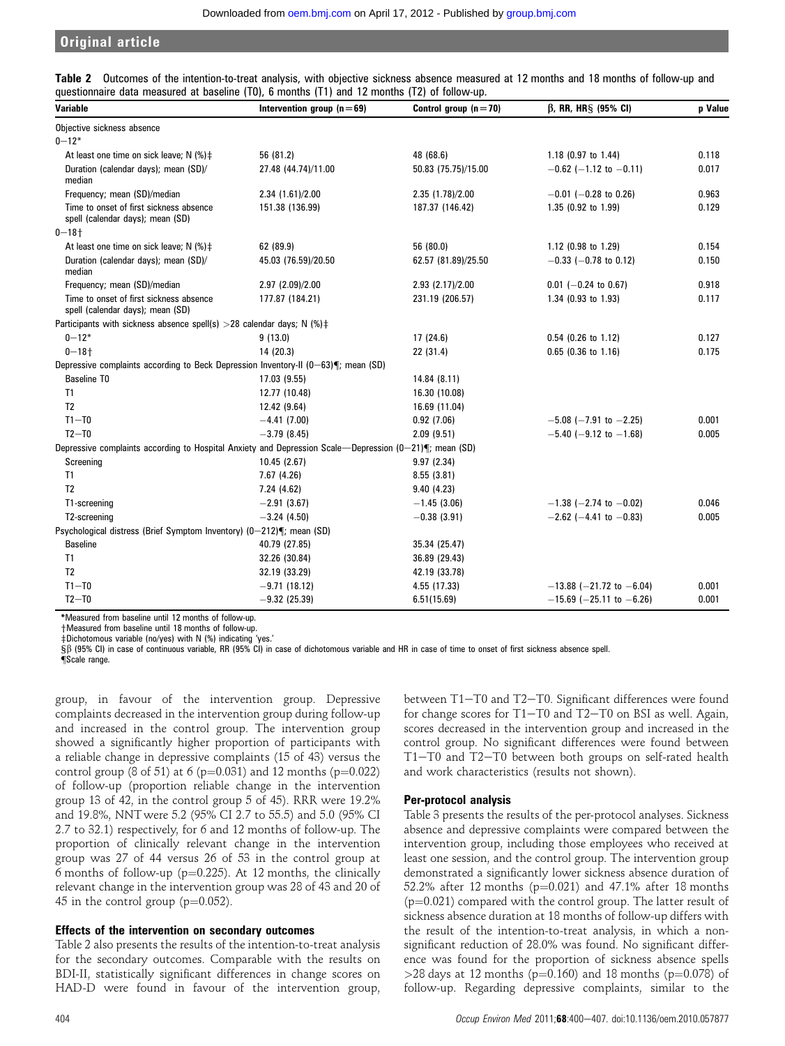# **Original article**

|  |                                                                                              |  |  | Table 2 Outcomes of the intention-to-treat analysis, with objective sickness absence measured at 12 months and 18 months of follow-up and |  |  |
|--|----------------------------------------------------------------------------------------------|--|--|-------------------------------------------------------------------------------------------------------------------------------------------|--|--|
|  | questionnaire data measured at baseline (T0), 6 months (T1) and 12 months (T2) of follow-up. |  |  |                                                                                                                                           |  |  |

| <b>Variable</b>                                                                                        | Intervention group $(n=69)$ | Control group $(n=70)$ | $\beta$ , RR, HRS (95% CI)       | p Value |
|--------------------------------------------------------------------------------------------------------|-----------------------------|------------------------|----------------------------------|---------|
| Objective sickness absence                                                                             |                             |                        |                                  |         |
| $0 - 12*$                                                                                              |                             |                        |                                  |         |
| At least one time on sick leave; $N$ (%) $\ddagger$                                                    | 56 (81.2)                   | 48 (68.6)              | 1.18 (0.97 to 1.44)              | 0.118   |
| Duration (calendar days); mean (SD)/<br>median                                                         | 27.48 (44.74)/11.00         | 50.83 (75.75)/15.00    | $-0.62$ (-1.12 to -0.11)         | 0.017   |
| Frequency; mean (SD)/median                                                                            | 2.34 (1.61)/2.00            | 2.35 (1.78)/2.00       | $-0.01$ ( $-0.28$ to 0.26)       | 0.963   |
| Time to onset of first sickness absence<br>spell (calendar days); mean (SD)                            | 151.38 (136.99)             | 187.37 (146.42)        | 1.35 (0.92 to 1.99)              | 0.129   |
| $0 - 18 +$                                                                                             |                             |                        |                                  |         |
| At least one time on sick leave; $N$ (%) $\ddagger$                                                    | 62 (89.9)                   | 56 (80.0)              | 1.12 (0.98 to 1.29)              | 0.154   |
| Duration (calendar days); mean (SD)/<br>median                                                         | 45.03 (76.59)/20.50         | 62.57 (81.89)/25.50    | $-0.33$ ( $-0.78$ to 0.12)       | 0.150   |
| Frequency; mean (SD)/median                                                                            | 2.97 (2.09)/2.00            | $2.93$ $(2.17)/2.00$   | $0.01$ (-0.24 to 0.67)           | 0.918   |
| Time to onset of first sickness absence<br>spell (calendar days); mean (SD)                            | 177.87 (184.21)             | 231.19 (206.57)        | 1.34 (0.93 to 1.93)              | 0.117   |
| Participants with sickness absence spell(s) > 28 calendar days; N (%) $\ddagger$                       |                             |                        |                                  |         |
| $0 - 12*$                                                                                              | 9(13.0)                     | 17(24.6)               | 0.54 (0.26 to 1.12)              | 0.127   |
| $0 - 18 +$                                                                                             | 14 (20.3)                   | 22 (31.4)              | $0.65$ (0.36 to 1.16)            | 0.175   |
| Depressive complaints according to Beck Depression Inventory-II (0-63) : mean (SD)                     |                             |                        |                                  |         |
| Baseline T0                                                                                            | 17.03 (9.55)                | 14.84 (8.11)           |                                  |         |
| T1                                                                                                     | 12.77 (10.48)               | 16.30 (10.08)          |                                  |         |
| T <sub>2</sub>                                                                                         | 12.42 (9.64)                | 16.69 (11.04)          |                                  |         |
| $T1 - T0$                                                                                              | $-4.41(7.00)$               | 0.92(7.06)             | $-5.08$ ( $-7.91$ to $-2.25$ )   | 0.001   |
| $T2-T0$                                                                                                | $-3.79(8.45)$               | 2.09(9.51)             | $-5.40$ ( $-9.12$ to $-1.68$ )   | 0.005   |
| Depressive complaints according to Hospital Anxiety and Depression Scale—Depression (0-21)¶; mean (SD) |                             |                        |                                  |         |
| Screening                                                                                              | 10.45(2.67)                 | 9.97(2.34)             |                                  |         |
| T <sub>1</sub>                                                                                         | 7.67(4.26)                  | 8.55(3.81)             |                                  |         |
| T <sub>2</sub>                                                                                         | 7.24(4.62)                  | 9.40(4.23)             |                                  |         |
| T1-screening                                                                                           | $-2.91(3.67)$               | $-1.45(3.06)$          | $-1.38$ (-2.74 to -0.02)         | 0.046   |
| T2-screening                                                                                           | $-3.24(4.50)$               | $-0.38(3.91)$          | $-2.62$ ( $-4.41$ to $-0.83$ )   | 0.005   |
| Psychological distress (Brief Symptom Inventory) (0-212)¶; mean (SD)                                   |                             |                        |                                  |         |
| <b>Baseline</b>                                                                                        | 40.79 (27.85)               | 35.34 (25.47)          |                                  |         |
| T1                                                                                                     | 32.26 (30.84)               | 36.89 (29.43)          |                                  |         |
| T <sub>2</sub>                                                                                         | 32.19 (33.29)               | 42.19 (33.78)          |                                  |         |
| $T1 - T0$                                                                                              | $-9.71(18.12)$              | 4.55 (17.33)           | $-13.88$ ( $-21.72$ to $-6.04$ ) | 0.001   |
| $T2-T0$                                                                                                | $-9.32(25.39)$              | 6.51(15.69)            | $-15.69$ (-25.11 to -6.26)       | 0.001   |

\*Measured from baseline until 12 months of follow-up.

+Measured from baseline until 18 months of follow-up.

‡Dichotomous variable (no/yes) with N (%) indicating 'yes.'<br>§β (95% CI) in case of continuous variable, RR (95% CI) in case of dichotomous variable and HR in case of time to onset of first sickness absence spell.

{Scale range.

group, in favour of the intervention group. Depressive complaints decreased in the intervention group during follow-up and increased in the control group. The intervention group showed a significantly higher proportion of participants with a reliable change in depressive complaints (15 of 43) versus the control group (8 of 51) at 6 (p=0.031) and 12 months (p=0.022) of follow-up (proportion reliable change in the intervention group 13 of 42, in the control group 5 of 45). RRR were 19.2% and 19.8%, NNT were 5.2 (95% CI 2.7 to 55.5) and 5.0 (95% CI 2.7 to 32.1) respectively, for 6 and 12 months of follow-up. The proportion of clinically relevant change in the intervention group was 27 of 44 versus 26 of 53 in the control group at 6 months of follow-up ( $p=0.225$ ). At 12 months, the clinically relevant change in the intervention group was 28 of 43 and 20 of 45 in the control group ( $p=0.052$ ).

#### Effects of the intervention on secondary outcomes

Table 2 also presents the results of the intention-to-treat analysis for the secondary outcomes. Comparable with the results on BDI-II, statistically significant differences in change scores on HAD-D were found in favour of the intervention group, between T1-T0 and T2-T0. Significant differences were found for change scores for  $T1-T0$  and  $T2-T0$  on BSI as well. Again, scores decreased in the intervention group and increased in the control group. No significant differences were found between T1-T0 and T2-T0 between both groups on self-rated health and work characteristics (results not shown).

#### Per-protocol analysis

Table 3 presents the results of the per-protocol analyses. Sickness absence and depressive complaints were compared between the intervention group, including those employees who received at least one session, and the control group. The intervention group demonstrated a significantly lower sickness absence duration of 52.2% after 12 months ( $p=0.021$ ) and 47.1% after 18 months  $(p=0.021)$  compared with the control group. The latter result of sickness absence duration at 18 months of follow-up differs with the result of the intention-to-treat analysis, in which a nonsignificant reduction of 28.0% was found. No significant difference was found for the proportion of sickness absence spells  $>$ 28 days at 12 months (p=0.160) and 18 months (p=0.078) of follow-up. Regarding depressive complaints, similar to the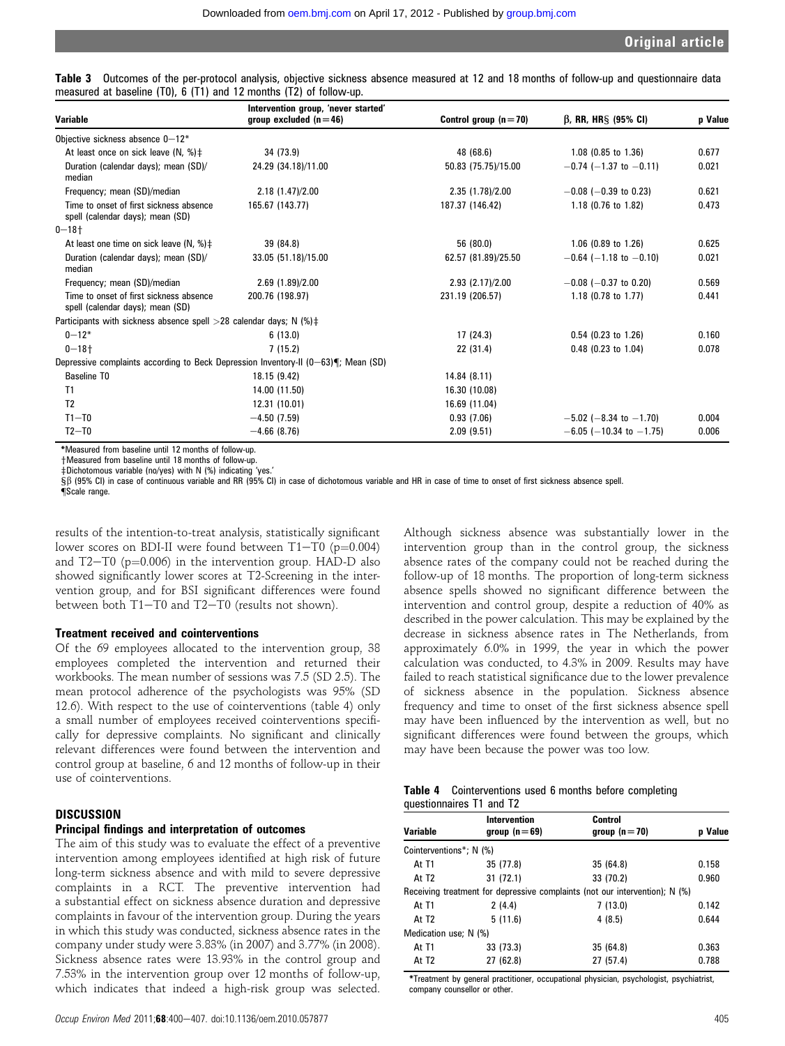|                                                                                    | Intervention group, 'never started' |                        |                                 |         |
|------------------------------------------------------------------------------------|-------------------------------------|------------------------|---------------------------------|---------|
| Variable                                                                           | group excluded $(n=46)$             | Control group $(n=70)$ | $\beta$ , RR, HRS (95% CI)      | p Value |
| Objective sickness absence 0-12*                                                   |                                     |                        |                                 |         |
| At least once on sick leave $(N, %)$ $\ddagger$                                    | 34 (73.9)                           | 48 (68.6)              | $1.08$ (0.85 to 1.36)           | 0.677   |
| Duration (calendar days); mean (SD)/<br>median                                     | 24.29 (34.18)/11.00                 | 50.83 (75.75)/15.00    | $-0.74$ ( $-1.37$ to $-0.11$ )  | 0.021   |
| Frequency; mean (SD)/median                                                        | 2.18(1.47)/2.00                     | 2.35 (1.78)/2.00       | $-0.08$ ( $-0.39$ to 0.23)      | 0.621   |
| Time to onset of first sickness absence<br>spell (calendar days); mean (SD)        | 165.67 (143.77)                     | 187.37 (146.42)        | 1.18 (0.76 to 1.82)             | 0.473   |
| $0 - 18 +$                                                                         |                                     |                        |                                 |         |
| At least one time on sick leave (N, %) $\ddagger$                                  | 39 (84.8)                           | 56 (80.0)              | 1.06 (0.89 to 1.26)             | 0.625   |
| Duration (calendar days); mean (SD)/<br>median                                     | 33.05 (51.18)/15.00                 | 62.57 (81.89)/25.50    | $-0.64$ ( $-1.18$ to $-0.10$ )  | 0.021   |
| Frequency; mean (SD)/median                                                        | 2.69 (1.89)/2.00                    | 2.93(2.17)/2.00        | $-0.08$ ( $-0.37$ to 0.20)      | 0.569   |
| Time to onset of first sickness absence<br>spell (calendar days); mean (SD)        | 200.76 (198.97)                     | 231.19 (206.57)        | 1.18 (0.78 to 1.77)             | 0.441   |
| Participants with sickness absence spell $>$ 28 calendar days; N (%) $\ddagger$    |                                     |                        |                                 |         |
| $0 - 12*$                                                                          | 6(13.0)                             | 17(24.3)               | $0.54$ (0.23 to 1.26)           | 0.160   |
| $0 - 18 +$                                                                         | 7(15.2)                             | 22 (31.4)              | 0.48 (0.23 to 1.04)             | 0.078   |
| Depressive complaints according to Beck Depression Inventory-II (0-63)¶; Mean (SD) |                                     |                        |                                 |         |
| Baseline TO                                                                        | 18.15 (9.42)                        | 14.84 (8.11)           |                                 |         |
| T1                                                                                 | 14.00 (11.50)                       | 16.30 (10.08)          |                                 |         |
| T <sub>2</sub>                                                                     | 12.31 (10.01)                       | 16.69 (11.04)          |                                 |         |
| $T1 - T0$                                                                          | $-4.50(7.59)$                       | 0.93(7.06)             | $-5.02$ ( $-8.34$ to $-1.70$ )  | 0.004   |
| $T2-T0$                                                                            | $-4.66(8.76)$                       | 2.09(9.51)             | $-6.05$ ( $-10.34$ to $-1.75$ ) | 0.006   |
|                                                                                    |                                     |                        |                                 |         |

Table 3 Outcomes of the per-protocol analysis, objective sickness absence measured at 12 and 18 months of follow-up and questionnaire data measured at baseline (T0), 6 (T1) and 12 months (T2) of follow-up.

\*Measured from baseline until 12 months of follow-up.

yMeasured from baseline until 18 months of follow-up.

zDichotomous variable (no/yes) with N (%) indicating 'yes.'

 $S\beta$  (95% CI) in case of continuous variable and RR (95% CI) in case of dichotomous variable and HR in case of time to onset of first sickness absence spell.

{Scale range.

results of the intention-to-treat analysis, statistically significant lower scores on BDI-II were found between  $T1-T0$  (p=0.004) and  $T2-T0$  ( $p=0.006$ ) in the intervention group. HAD-D also showed significantly lower scores at T2-Screening in the intervention group, and for BSI significant differences were found between both  $T1-T0$  and  $T2-T0$  (results not shown).

#### Treatment received and cointerventions

Of the 69 employees allocated to the intervention group, 38 employees completed the intervention and returned their workbooks. The mean number of sessions was 7.5 (SD 2.5). The mean protocol adherence of the psychologists was 95% (SD 12.6). With respect to the use of cointerventions (table 4) only a small number of employees received cointerventions specifically for depressive complaints. No significant and clinically relevant differences were found between the intervention and control group at baseline, 6 and 12 months of follow-up in their use of cointerventions.

#### **DISCUSSION**

#### Principal findings and interpretation of outcomes

The aim of this study was to evaluate the effect of a preventive intervention among employees identified at high risk of future long-term sickness absence and with mild to severe depressive complaints in a RCT. The preventive intervention had a substantial effect on sickness absence duration and depressive complaints in favour of the intervention group. During the years in which this study was conducted, sickness absence rates in the company under study were 3.83% (in 2007) and 3.77% (in 2008). Sickness absence rates were 13.93% in the control group and 7.53% in the intervention group over 12 months of follow-up, which indicates that indeed a high-risk group was selected.

Although sickness absence was substantially lower in the intervention group than in the control group, the sickness absence rates of the company could not be reached during the follow-up of 18 months. The proportion of long-term sickness absence spells showed no significant difference between the intervention and control group, despite a reduction of 40% as described in the power calculation. This may be explained by the decrease in sickness absence rates in The Netherlands, from approximately 6.0% in 1999, the year in which the power calculation was conducted, to 4.3% in 2009. Results may have failed to reach statistical significance due to the lower prevalence of sickness absence in the population. Sickness absence frequency and time to onset of the first sickness absence spell may have been influenced by the intervention as well, but no significant differences were found between the groups, which may have been because the power was too low.

| <b>Table 4</b> Cointerventions used 6 months before completing |  |  |
|----------------------------------------------------------------|--|--|
| questionnaires T1 and T2                                       |  |  |

| <b>Variable</b>         | Intervention<br>group $(n=69)$ | Control<br>group $(n=70)$                                                   | <b>p</b> Value |
|-------------------------|--------------------------------|-----------------------------------------------------------------------------|----------------|
| Cointerventions*; N (%) |                                |                                                                             |                |
| At T1                   | 35 (77.8)                      | 35(64.8)                                                                    | 0.158          |
| At T <sub>2</sub>       | 31(72.1)                       | 33 (70.2)                                                                   | 0.960          |
|                         |                                | Receiving treatment for depressive complaints (not our intervention); N (%) |                |
| At T1                   | 2(4.4)                         | 7(13.0)                                                                     | 0.142          |
| At T <sub>2</sub>       | 5(11.6)                        | 4(8.5)                                                                      | 0.644          |
| Medication use; N (%)   |                                |                                                                             |                |
| At T1                   | 33 (73.3)                      | 35(64.8)                                                                    | 0.363          |
| At T <sub>2</sub>       | 27 (62.8)                      | 27 (57.4)                                                                   | 0.788          |

\*Treatment by general practitioner, occupational physician, psychologist, psychiatrist, company counsellor or other.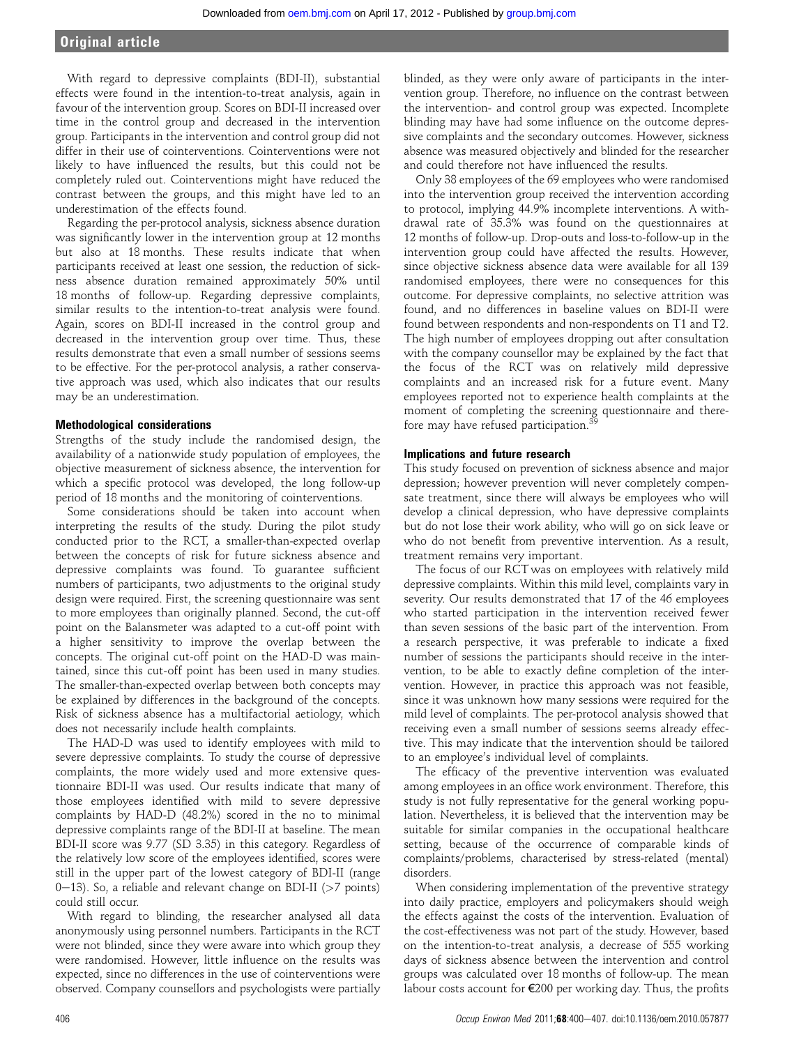# Original article

With regard to depressive complaints (BDI-II), substantial effects were found in the intention-to-treat analysis, again in favour of the intervention group. Scores on BDI-II increased over time in the control group and decreased in the intervention group. Participants in the intervention and control group did not differ in their use of cointerventions. Cointerventions were not likely to have influenced the results, but this could not be completely ruled out. Cointerventions might have reduced the contrast between the groups, and this might have led to an underestimation of the effects found.

Regarding the per-protocol analysis, sickness absence duration was significantly lower in the intervention group at 12 months but also at 18 months. These results indicate that when participants received at least one session, the reduction of sickness absence duration remained approximately 50% until 18 months of follow-up. Regarding depressive complaints, similar results to the intention-to-treat analysis were found. Again, scores on BDI-II increased in the control group and decreased in the intervention group over time. Thus, these results demonstrate that even a small number of sessions seems to be effective. For the per-protocol analysis, a rather conservative approach was used, which also indicates that our results may be an underestimation.

#### Methodological considerations

Strengths of the study include the randomised design, the availability of a nationwide study population of employees, the objective measurement of sickness absence, the intervention for which a specific protocol was developed, the long follow-up period of 18 months and the monitoring of cointerventions.

Some considerations should be taken into account when interpreting the results of the study. During the pilot study conducted prior to the RCT, a smaller-than-expected overlap between the concepts of risk for future sickness absence and depressive complaints was found. To guarantee sufficient numbers of participants, two adjustments to the original study design were required. First, the screening questionnaire was sent to more employees than originally planned. Second, the cut-off point on the Balansmeter was adapted to a cut-off point with a higher sensitivity to improve the overlap between the concepts. The original cut-off point on the HAD-D was maintained, since this cut-off point has been used in many studies. The smaller-than-expected overlap between both concepts may be explained by differences in the background of the concepts. Risk of sickness absence has a multifactorial aetiology, which does not necessarily include health complaints.

The HAD-D was used to identify employees with mild to severe depressive complaints. To study the course of depressive complaints, the more widely used and more extensive questionnaire BDI-II was used. Our results indicate that many of those employees identified with mild to severe depressive complaints by HAD-D (48.2%) scored in the no to minimal depressive complaints range of the BDI-II at baseline. The mean BDI-II score was 9.77 (SD 3.35) in this category. Regardless of the relatively low score of the employees identified, scores were still in the upper part of the lowest category of BDI-II (range 0–13). So, a reliable and relevant change on BDI-II ( $>7$  points) could still occur.

With regard to blinding, the researcher analysed all data anonymously using personnel numbers. Participants in the RCT were not blinded, since they were aware into which group they were randomised. However, little influence on the results was expected, since no differences in the use of cointerventions were observed. Company counsellors and psychologists were partially

blinded, as they were only aware of participants in the intervention group. Therefore, no influence on the contrast between the intervention- and control group was expected. Incomplete blinding may have had some influence on the outcome depressive complaints and the secondary outcomes. However, sickness absence was measured objectively and blinded for the researcher and could therefore not have influenced the results.

Only 38 employees of the 69 employees who were randomised into the intervention group received the intervention according to protocol, implying 44.9% incomplete interventions. A withdrawal rate of 35.3% was found on the questionnaires at 12 months of follow-up. Drop-outs and loss-to-follow-up in the intervention group could have affected the results. However, since objective sickness absence data were available for all 139 randomised employees, there were no consequences for this outcome. For depressive complaints, no selective attrition was found, and no differences in baseline values on BDI-II were found between respondents and non-respondents on T1 and T2. The high number of employees dropping out after consultation with the company counsellor may be explained by the fact that the focus of the RCT was on relatively mild depressive complaints and an increased risk for a future event. Many employees reported not to experience health complaints at the moment of completing the screening questionnaire and therefore may have refused participation.<sup>3</sup>

#### Implications and future research

This study focused on prevention of sickness absence and major depression; however prevention will never completely compensate treatment, since there will always be employees who will develop a clinical depression, who have depressive complaints but do not lose their work ability, who will go on sick leave or who do not benefit from preventive intervention. As a result, treatment remains very important.

The focus of our RCT was on employees with relatively mild depressive complaints. Within this mild level, complaints vary in severity. Our results demonstrated that 17 of the 46 employees who started participation in the intervention received fewer than seven sessions of the basic part of the intervention. From a research perspective, it was preferable to indicate a fixed number of sessions the participants should receive in the intervention, to be able to exactly define completion of the intervention. However, in practice this approach was not feasible, since it was unknown how many sessions were required for the mild level of complaints. The per-protocol analysis showed that receiving even a small number of sessions seems already effective. This may indicate that the intervention should be tailored to an employee's individual level of complaints.

The efficacy of the preventive intervention was evaluated among employees in an office work environment. Therefore, this study is not fully representative for the general working population. Nevertheless, it is believed that the intervention may be suitable for similar companies in the occupational healthcare setting, because of the occurrence of comparable kinds of complaints/problems, characterised by stress-related (mental) disorders.

When considering implementation of the preventive strategy into daily practice, employers and policymakers should weigh the effects against the costs of the intervention. Evaluation of the cost-effectiveness was not part of the study. However, based on the intention-to-treat analysis, a decrease of 555 working days of sickness absence between the intervention and control groups was calculated over 18 months of follow-up. The mean labour costs account for  $\epsilon$ 200 per working day. Thus, the profits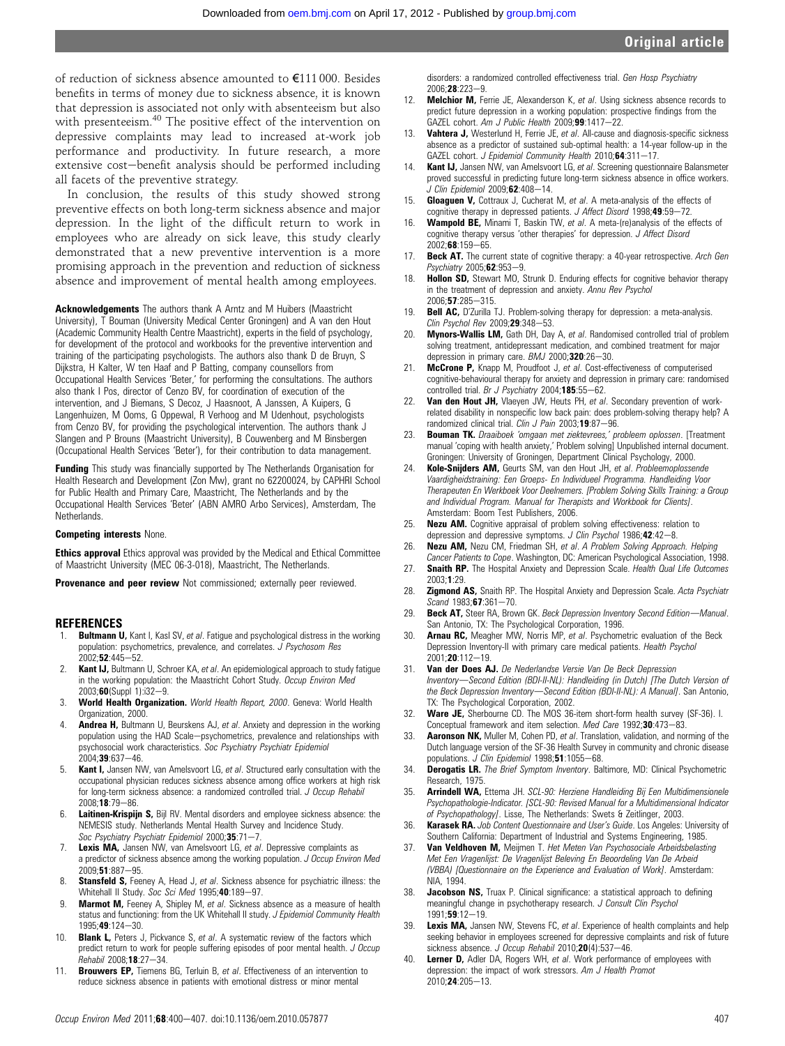of reduction of sickness absence amounted to €111 000. Besides benefits in terms of money due to sickness absence, it is known that depression is associated not only with absenteeism but also with presenteeism.<sup>40</sup> The positive effect of the intervention on depressive complaints may lead to increased at-work job performance and productivity. In future research, a more extensive cost-benefit analysis should be performed including all facets of the preventive strategy.

In conclusion, the results of this study showed strong preventive effects on both long-term sickness absence and major depression. In the light of the difficult return to work in employees who are already on sick leave, this study clearly demonstrated that a new preventive intervention is a more promising approach in the prevention and reduction of sickness absence and improvement of mental health among employees.

Acknowledgements The authors thank A Arntz and M Huibers (Maastricht University), T Bouman (University Medical Center Groningen) and A van den Hout (Academic Community Health Centre Maastricht), experts in the field of psychology, for development of the protocol and workbooks for the preventive intervention and training of the participating psychologists. The authors also thank D de Bruyn, S Dijkstra, H Kalter, W ten Haaf and P Batting, company counsellors from Occupational Health Services 'Beter,' for performing the consultations. The authors also thank I Pos, director of Cenzo BV, for coordination of execution of the intervention, and J Biemans, S Decoz, J Haasnoot, A Janssen, A Kuipers, G Langenhuizen, M Ooms, G Oppewal, R Verhoog and M Udenhout, psychologists from Cenzo BV, for providing the psychological intervention. The authors thank J Slangen and P Brouns (Maastricht University), B Couwenberg and M Binsbergen (Occupational Health Services 'Beter'), for their contribution to data management.

Funding This study was financially supported by The Netherlands Organisation for Health Research and Development (Zon Mw), grant no 62200024, by CAPHRI School for Public Health and Primary Care, Maastricht, The Netherlands and by the Occupational Health Services 'Beter' (ABN AMRO Arbo Services), Amsterdam, The **Netherlands** 

#### Competing interests None.

**Ethics approval** Ethics approval was provided by the Medical and Ethical Committee of Maastricht University (MEC 06-3-018), Maastricht, The Netherlands.

Provenance and peer review Not commissioned; externally peer reviewed.

#### REFERENCES

- 1. **Bultmann U,** Kant I, Kasl SV, et al. Fatigue and psychological distress in the working population: psychometrics, prevalence, and correlates. J Psychosom Res  $2002;$ **52**:445-52.
- 2. Kant IJ, Bultmann U, Schroer KA, et al. An epidemiological approach to study fatigue in the working population: the Maastricht Cohort Study. Occup Environ Med 2003:60(Suppl 1):i32-9.
- 3. World Health Organization. World Health Report, 2000. Geneva: World Health Organization, 2000.
- 4. **Andrea H,** Bultmann U, Beurskens AJ, et al. Anxiety and depression in the working population using the HAD Scale-psychometrics, prevalence and relationships with psychosocial work characteristics. Soc Psychiatry Psychiatr Epidemiol 2004;39:637-46.
- 5. Kant I, Jansen NW, van Amelsvoort LG, et al. Structured early consultation with the occupational physician reduces sickness absence among office workers at high risk for long-term sickness absence: a randomized controlled trial. J Occup Rehabil  $2008:18:79-86.$
- 6. Laitinen-Krispijn S, Bijl RV. Mental disorders and employee sickness absence: the NEMESIS study. Netherlands Mental Health Survey and Incidence Study. Soc Psychiatry Psychiatr Epidemiol 2000;35:71-7.
- 7. Lexis MA, Jansen NW, van Amelsvoort LG, et al. Depressive complaints as a predictor of sickness absence among the working population. J Occup Environ Med 2009;51:887-95.
- 8. Stansfeld S, Feeney A, Head J, et al. Sickness absence for psychiatric illness: the Whitehall II Study. Soc Sci Med 1995;40:189-97.
- 9. Marmot M, Feeney A, Shipley M, et al. Sickness absence as a measure of health status and functioning: from the UK Whitehall II study. J Epidemiol Community Health 1995:49:124-30.
- 10. **Blank L,** Peters J, Pickvance S, et al. A systematic review of the factors which predict return to work for people suffering episodes of poor mental health. J Occup Rehabil 2008;18:27-34.
- 11. **Brouwers EP,** Tiemens BG, Terluin B, et al. Effectiveness of an intervention to reduce sickness absence in patients with emotional distress or minor mental

disorders: a randomized controlled effectiveness trial. Gen Hosp Psychiatry 2006:28:223-9.

- 12. Melchior M, Ferrie JE, Alexanderson K, et al. Using sickness absence records to predict future depression in a working population: prospective findings from the GAZEL cohort. Am J Public Health  $2009.99.1417 - 22$ .
- 13. Vahtera J, Westerlund H, Ferrie JE, et al. All-cause and diagnosis-specific sickness absence as a predictor of sustained sub-optimal health: a 14-year follow-up in the GAZEL cohort. J Epidemiol Community Health 2010;64:311-17.
- Kant IJ, Jansen NW, van Amelsvoort LG, et al. Screening questionnaire Balansmeter proved successful in predicting future long-term sickness absence in office workers.  $J$  Clin Epidemiol 2009; 62:408-14.
- 15. Gloaguen V, Cottraux J, Cucherat M, et al. A meta-analysis of the effects of cognitive therapy in depressed patients. J Affect Disord 1998;49:59-72.
- 16. Wampold BE, Minami T, Baskin TW, et al. A meta-(re)analysis of the effects of cognitive therapy versus 'other therapies' for depression. J Affect Disord  $2002:68:159 - 65$
- 17. Beck AT. The current state of cognitive therapy: a 40-year retrospective. Arch Gen Psychiatry 2005; $62:953 - 9$ .
- 18. **Hollon SD,** Stewart MO, Strunk D. Enduring effects for cognitive behavior therapy in the treatment of depression and anxiety. Annu Rev Psychol  $2006:57:285 - 315$
- 19. **Bell AC,** D'Zurilla TJ. Problem-solving therapy for depression: a meta-analysis. Clin Psychol Rev 2009; $29:348-53$ .
- Mynors-Wallis LM, Gath DH, Day A, et al. Randomised controlled trial of problem solving treatment, antidepressant medication, and combined treatment for major depression in primary care. BMJ 2000;320:26-30.
- 21. McCrone P, Knapp M, Proudfoot J, et al. Cost-effectiveness of computerised cognitive-behavioural therapy for anxiety and depression in primary care: randomised controlled trial. Br J Psychiatry 2004; $185:55-62$ .
- Van den Hout JH, Vlaeyen JW, Heuts PH, et al. Secondary prevention of workrelated disability in nonspecific low back pain: does problem-solving therapy help? A randomized clinical trial. Clin J Pain 2003;19:87-96.
- 23. Bouman TK. Draaiboek 'omgaan met ziektevrees,' probleem oplossen. [Treatment manual 'coping with health anxiety,' Problem solving] Unpublished internal document. Groningen: University of Groningen, Department Clinical Psychology, 2000.
- 24. Kole-Snijders AM, Geurts SM, van den Hout JH, et al. Probleemoplossende Vaardigheidstraining: Een Groeps- En Individueel Programma. Handleiding Voor Therapeuten En Werkboek Voor Deelnemers. [Problem Solving Skills Training: a Group and Individual Program. Manual for Therapists and Workbook for Clients]. Amsterdam: Boom Test Publishers, 2006.
- 25. Nezu AM. Cognitive appraisal of problem solving effectiveness: relation to depression and depressive symptoms. J Clin Psychol 1986;42:42-8.
- 26. Nezu AM, Nezu CM, Friedman SH, et al. A Problem Solving Approach. Helping Cancer Patients to Cope. Washington, DC: American Psychological Association, 1998.
- 27. **Snaith RP.** The Hospital Anxiety and Depression Scale. Health Qual Life Outcomes 2003;1:29.
- 28. **Zigmond AS,** Snaith RP. The Hospital Anxiety and Depression Scale. Acta Psychiatr  $Scand$  1983;67:361-70.
- 29. Beck AT, Steer RA, Brown GK. Beck Depression Inventory Second Edition-Manual. San Antonio, TX: The Psychological Corporation, 1996.
- 30. **Arnau RC,** Meagher MW, Norris MP, et al. Psychometric evaluation of the Beck Depression Inventory-II with primary care medical patients. Health Psychol 2001;20:112-19.
- 31. Van der Does AJ. De Nederlandse Versie Van De Beck Depression Inventory-Second Edition (BDI-II-NL): Handleiding (in Dutch) [The Dutch Version of the Beck Depression Inventory-Second Edition (BDI-II-NL): A Manual]. San Antonio, TX: The Psychological Corporation, 2002.
- 32. Ware JE, Sherbourne CD. The MOS 36-item short-form health survey (SF-36). I. Conceptual framework and item selection. Med Care 1992;30:473-83.
- 33. **Aaronson NK, Muller M, Cohen PD, et al. Translation, validation, and norming of the** Dutch language version of the SF-36 Health Survey in community and chronic disease populations. J Clin Epidemiol 1998;51:1055-68.
- 34. **Derogatis LR.** The Brief Symptom Inventory. Baltimore, MD: Clinical Psychometric Research, 1975.
- 35. **Arrindell WA**, Ettema JH. SCL-90: Herziene Handleiding Bij Een Multidimensionele Psychopathologie-Indicator. [SCL-90: Revised Manual for a Multidimensional Indicator of Psychopathology]. Lisse, The Netherlands: Swets & Zeitlinger, 2003.
- 36. Karasek RA. Job Content Questionnaire and User's Guide. Los Angeles: University of Southern California: Department of Industrial and Systems Engineering, 1985.
- 37. Van Veldhoven M, Meijmen T. Het Meten Van Psychosociale Arbeidsbelasting Met Een Vragenlijst: De Vragenlijst Beleving En Beoordeling Van De Arbeid (VBBA) [Questionnaire on the Experience and Evaluation of Work]. Amsterdam: NIA, 1994.
- 38. Jacobson NS, Truax P. Clinical significance: a statistical approach to defining meaningful change in psychotherapy research. J Consult Clin Psychol  $1991:59:12-19$
- 39. Lexis MA, Jansen NW, Stevens FC, et al. Experience of health complaints and help seeking behavior in employees screened for depressive complaints and risk of future sickness absence. J Occup Rehabil  $2010;20(4):537-46$ .
- 40. Lerner D, Adler DA, Rogers WH, et al. Work performance of employees with depression: the impact of work stressors. Am J Health Promot 2010;24:205-13.